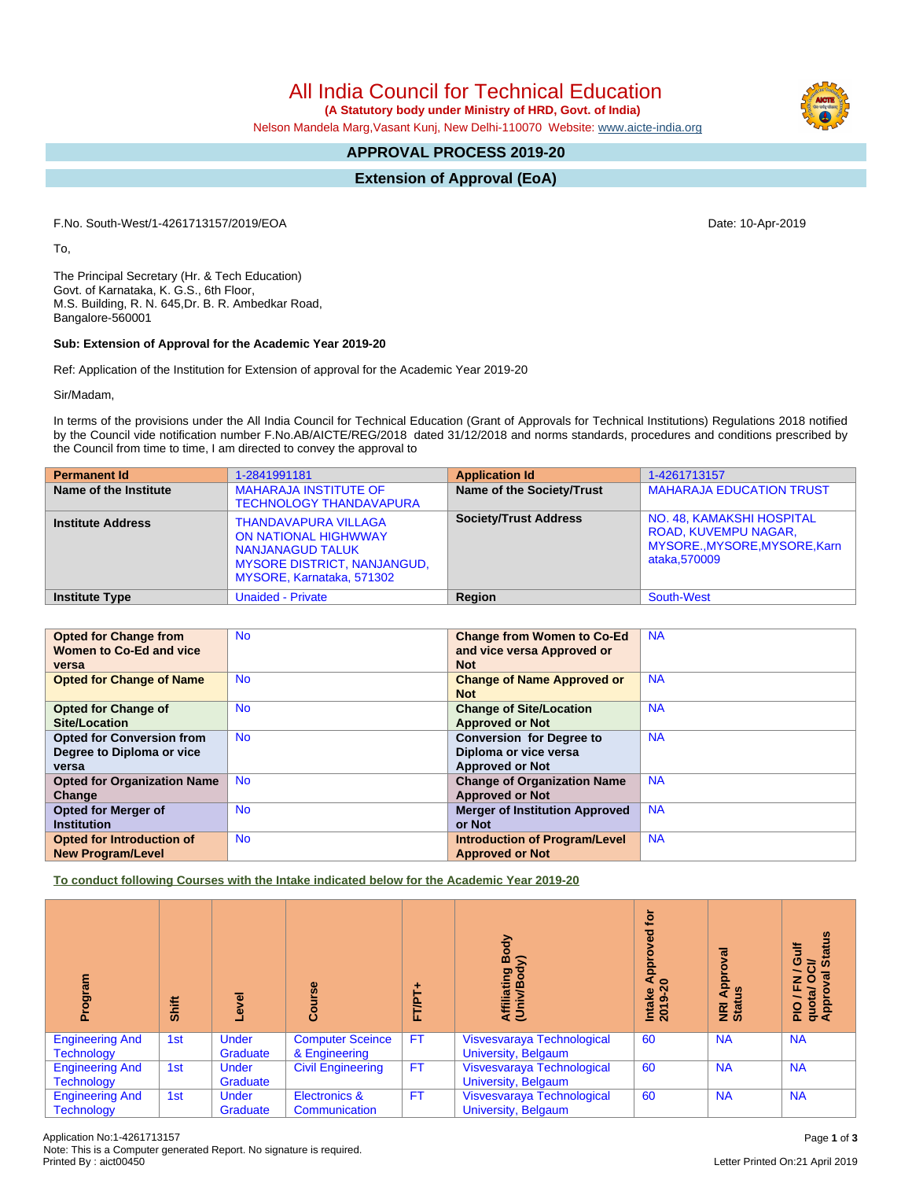All India Council for Technical Education

 **(A Statutory body under Ministry of HRD, Govt. of India)**

Nelson Mandela Marg,Vasant Kunj, New Delhi-110070 Website: [www.aicte-india.org](http://www.aicte-india.org)

# **APPROVAL PROCESS 2019-20**

## **Extension of Approval (EoA)**

F.No. South-West/1-4261713157/2019/EOA Date: 10-Apr-2019

To,

The Principal Secretary (Hr. & Tech Education) Govt. of Karnataka, K. G.S., 6th Floor, M.S. Building, R. N. 645,Dr. B. R. Ambedkar Road, Bangalore-560001

#### **Sub: Extension of Approval for the Academic Year 2019-20**

Ref: Application of the Institution for Extension of approval for the Academic Year 2019-20

Sir/Madam,

In terms of the provisions under the All India Council for Technical Education (Grant of Approvals for Technical Institutions) Regulations 2018 notified by the Council vide notification number F.No.AB/AICTE/REG/2018 dated 31/12/2018 and norms standards, procedures and conditions prescribed by the Council from time to time, I am directed to convey the approval to

| <b>Permanent Id</b>      | 1-2841991181                                                                                                                                             | <b>Application Id</b>        | 1-4261713157                                                                                       |
|--------------------------|----------------------------------------------------------------------------------------------------------------------------------------------------------|------------------------------|----------------------------------------------------------------------------------------------------|
| Name of the Institute    | <b>MAHARAJA INSTITUTE OF</b><br><b>TECHNOLOGY THANDAVAPURA</b>                                                                                           | Name of the Society/Trust    | <b>MAHARAJA EDUCATION TRUST</b>                                                                    |
| <b>Institute Address</b> | <b>THANDAVAPURA VILLAGA</b><br><b>ON NATIONAL HIGHWWAY</b><br><b>NANJANAGUD TALUK</b><br><b>MYSORE DISTRICT, NANJANGUD,</b><br>MYSORE, Karnataka, 571302 | <b>Society/Trust Address</b> | NO. 48, KAMAKSHI HOSPITAL<br>ROAD, KUVEMPU NAGAR,<br>MYSORE., MYSORE, MYSORE, Karn<br>ataka.570009 |
| <b>Institute Type</b>    | <b>Unaided - Private</b>                                                                                                                                 | <b>Region</b>                | <b>South-West</b>                                                                                  |

| <b>Opted for Change from</b>       | <b>No</b> | <b>Change from Women to Co-Ed</b>     | <b>NA</b> |
|------------------------------------|-----------|---------------------------------------|-----------|
| Women to Co-Ed and vice            |           | and vice versa Approved or            |           |
| versa                              |           | <b>Not</b>                            |           |
| <b>Opted for Change of Name</b>    | <b>No</b> | <b>Change of Name Approved or</b>     | <b>NA</b> |
|                                    |           | <b>Not</b>                            |           |
| <b>Opted for Change of</b>         | <b>No</b> | <b>Change of Site/Location</b>        | <b>NA</b> |
| <b>Site/Location</b>               |           | <b>Approved or Not</b>                |           |
| <b>Opted for Conversion from</b>   | <b>No</b> | <b>Conversion for Degree to</b>       | <b>NA</b> |
| Degree to Diploma or vice          |           | Diploma or vice versa                 |           |
| versa                              |           | <b>Approved or Not</b>                |           |
| <b>Opted for Organization Name</b> | <b>No</b> | <b>Change of Organization Name</b>    | <b>NA</b> |
| Change                             |           | <b>Approved or Not</b>                |           |
| <b>Opted for Merger of</b>         | <b>No</b> | <b>Merger of Institution Approved</b> | <b>NA</b> |
| <b>Institution</b>                 |           | or Not                                |           |
| <b>Opted for Introduction of</b>   | <b>No</b> | <b>Introduction of Program/Level</b>  | <b>NA</b> |
| <b>New Program/Level</b>           |           | <b>Approved or Not</b>                |           |

**To conduct following Courses with the Intake indicated below for the Academic Year 2019-20**

| ogram                                       | Shift | Level                    | Course                                   | FT/PT     | Body<br>⋦<br>Affiliating<br>(Univ/Bod <sub>)</sub> | Įō<br>ਠ<br>٥<br>ă<br>$\mathbf{A}$<br>$\circ$<br>Intake<br>2019-20 | ह<br>ō<br>Appr<br>ŝ<br><b>i</b><br>ទី | <b>Status</b><br>Ë<br>Ó<br>$\overline{5}$<br>y / FN<br>quota/ O<br>App |
|---------------------------------------------|-------|--------------------------|------------------------------------------|-----------|----------------------------------------------------|-------------------------------------------------------------------|---------------------------------------|------------------------------------------------------------------------|
| <b>Engineering And</b><br><b>Technology</b> | 1st   | <b>Under</b><br>Graduate | <b>Computer Sceince</b><br>& Engineering | <b>FT</b> | Visvesvaraya Technological<br>University, Belgaum  | 60                                                                | <b>NA</b>                             | <b>NA</b>                                                              |
| <b>Engineering And</b><br><b>Technology</b> | 1st   | <b>Under</b><br>Graduate | <b>Civil Engineering</b>                 | <b>FT</b> | Visvesvaraya Technological<br>University, Belgaum  | 60                                                                | <b>NA</b>                             | <b>NA</b>                                                              |
| <b>Engineering And</b><br><b>Technology</b> | 1st   | <b>Under</b><br>Graduate | Electronics &<br>Communication           | <b>FT</b> | Visvesvaraya Technological<br>University, Belgaum  | 60                                                                | <b>NA</b>                             | <b>NA</b>                                                              |

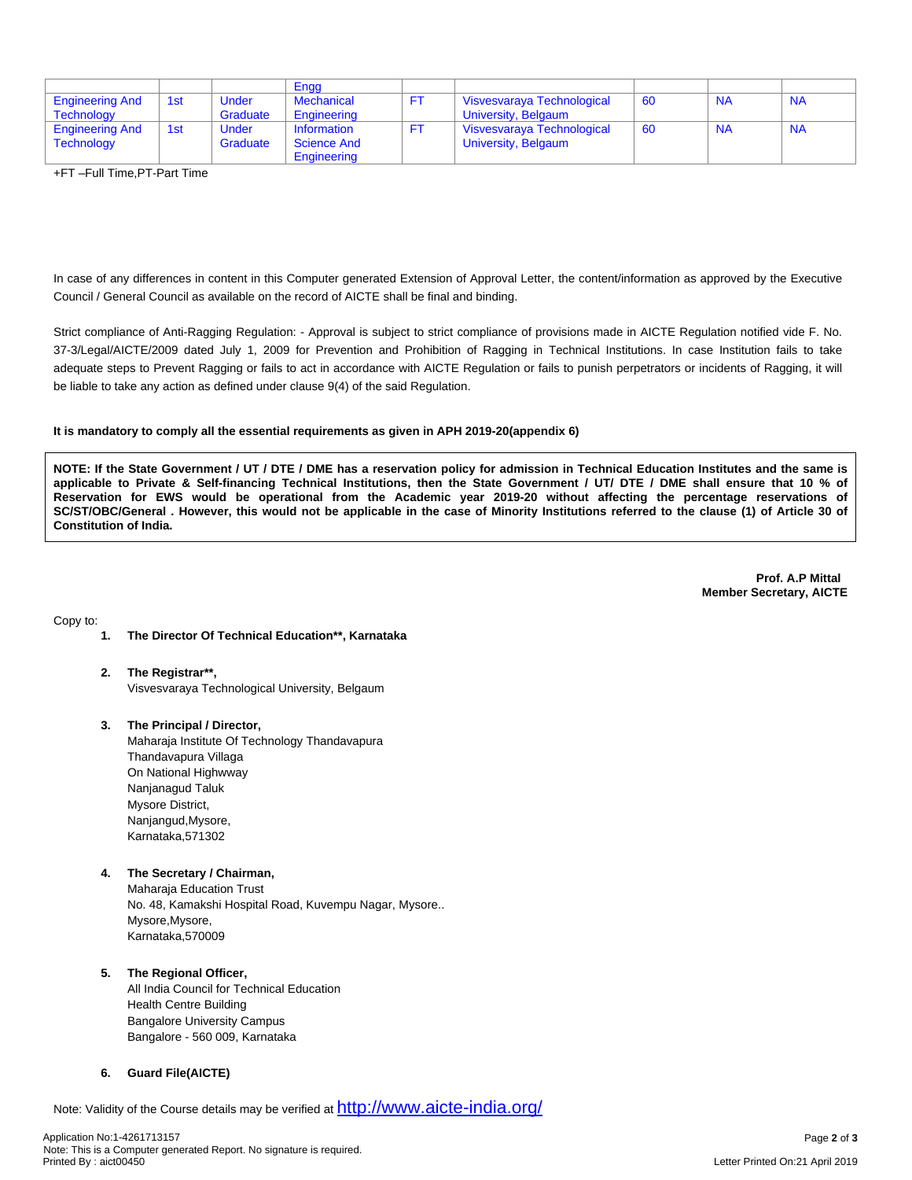|                        |     |          | Engg               |                            |    |           |           |
|------------------------|-----|----------|--------------------|----------------------------|----|-----------|-----------|
| <b>Engineering And</b> | 1st | Under    | Mechanical         | Visvesvaraya Technological | 60 | <b>NA</b> | <b>NA</b> |
| <b>Technology</b>      |     | Graduate | Engineering        | University, Belgaum        |    |           |           |
| <b>Engineering And</b> | 1st | Under    | Information        | Visvesvaraya Technological | 60 | <b>NA</b> | <b>NA</b> |
| <b>Technology</b>      |     | Graduate | <b>Science And</b> | University, Belgaum        |    |           |           |
|                        |     |          | Engineering        |                            |    |           |           |

+FT –Full Time,PT-Part Time

In case of any differences in content in this Computer generated Extension of Approval Letter, the content/information as approved by the Executive Council / General Council as available on the record of AICTE shall be final and binding.

Strict compliance of Anti-Ragging Regulation: - Approval is subject to strict compliance of provisions made in AICTE Regulation notified vide F. No. 37-3/Legal/AICTE/2009 dated July 1, 2009 for Prevention and Prohibition of Ragging in Technical Institutions. In case Institution fails to take adequate steps to Prevent Ragging or fails to act in accordance with AICTE Regulation or fails to punish perpetrators or incidents of Ragging, it will be liable to take any action as defined under clause 9(4) of the said Regulation.

#### **It is mandatory to comply all the essential requirements as given in APH 2019-20(appendix 6)**

NOTE: If the State Government / UT / DTE / DME has a reservation policy for admission in Technical Education Institutes and the same is applicable to Private & Self-financing Technical Institutions, then the State Government / UT/ DTE / DME shall ensure that 10 % of Reservation for EWS would be operational from the Academic year 2019-20 without affecting the percentage reservations of SC/ST/OBC/General . However, this would not be applicable in the case of Minority Institutions referred to the clause (1) of Article 30 of **Constitution of India.**

> **Prof. A.P Mittal Member Secretary, AICTE**

Copy to:

- **1. The Director Of Technical Education\*\*, Karnataka**
- **2. The Registrar\*\*,** Visvesvaraya Technological University, Belgaum
- **3. The Principal / Director,** Maharaja Institute Of Technology Thandavapura Thandavapura Villaga On National Highwway Nanjanagud Taluk Mysore District, Nanjangud,Mysore, Karnataka,571302
- **4. The Secretary / Chairman,** Maharaja Education Trust No. 48, Kamakshi Hospital Road, Kuvempu Nagar, Mysore.. Mysore,Mysore, Karnataka,570009

### **5. The Regional Officer,**

All India Council for Technical Education Health Centre Building Bangalore University Campus Bangalore - 560 009, Karnataka

## **6. Guard File(AICTE)**

Note: Validity of the Course details may be verified at <http://www.aicte-india.org/>